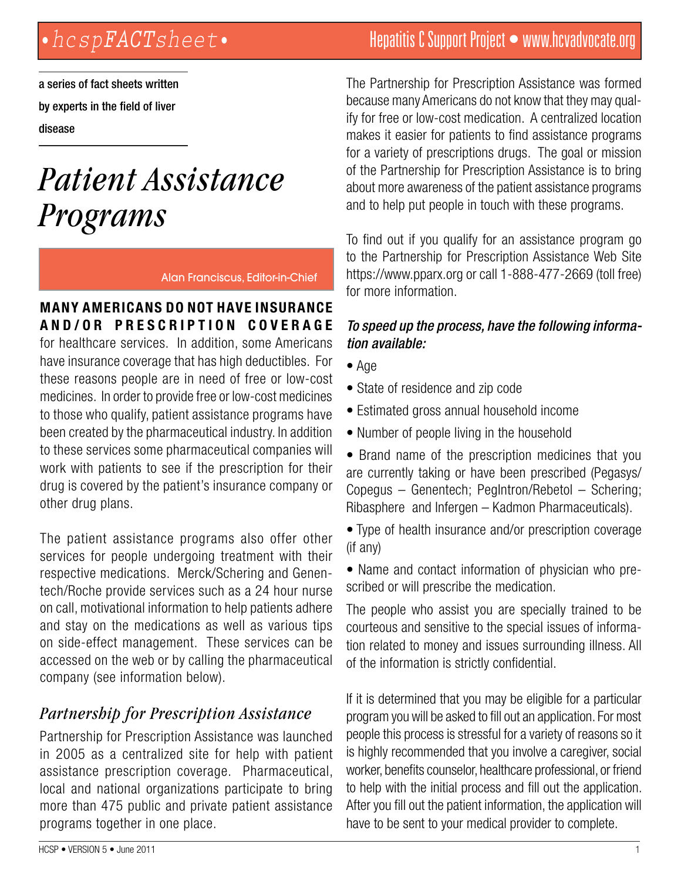a series of fact sheets written by experts in the field of liver disease

# *Patient Assistance Programs*

Alan Franciscus, Editor-in-Chief

#### **Many Americans do not have insurance and/or prescription coverage**

for healthcare services. In addition, some Americans have insurance coverage that has high deductibles. For these reasons people are in need of free or low-cost medicines. In order to provide free or low-cost medicines to those who qualify, patient assistance programs have been created by the pharmaceutical industry. In addition to these services some pharmaceutical companies will work with patients to see if the prescription for their drug is covered by the patient's insurance company or other drug plans.

The patient assistance programs also offer other services for people undergoing treatment with their respective medications. Merck/Schering and Genentech/Roche provide services such as a 24 hour nurse on call, motivational information to help patients adhere and stay on the medications as well as various tips on side-effect management. These services can be accessed on the web or by calling the pharmaceutical company (see information below).

# *Partnership for Prescription Assistance*

Partnership for Prescription Assistance was launched in 2005 as a centralized site for help with patient assistance prescription coverage. Pharmaceutical, local and national organizations participate to bring more than 475 public and private patient assistance programs together in one place.

# *•hcspFACTsheet•* Hepatitis C Support Project • www.hcvadvocate.org

The Partnership for Prescription Assistance was formed because many Americans do not know that they may qualify for free or low-cost medication. A centralized location makes it easier for patients to find assistance programs for a variety of prescriptions drugs. The goal or mission of the Partnership for Prescription Assistance is to bring about more awareness of the patient assistance programs and to help put people in touch with these programs.

To find out if you qualify for an assistance program go to the Partnership for Prescription Assistance Web Site https://www.pparx.org or call 1-888-477-2669 (toll free) for more information.

#### *To speed up the process, have the following information available:*

- Age
- State of residence and zip code
- Estimated gross annual household income
- Number of people living in the household

• Brand name of the prescription medicines that you are currently taking or have been prescribed (Pegasys/ Copegus – Genentech; PegIntron/Rebetol – Schering; Ribasphere and Infergen – Kadmon Pharmaceuticals).

• Type of health insurance and/or prescription coverage (if any)

• Name and contact information of physician who prescribed or will prescribe the medication.

The people who assist you are specially trained to be courteous and sensitive to the special issues of information related to money and issues surrounding illness. All of the information is strictly confidential.

If it is determined that you may be eligible for a particular program you will be asked to fill out an application. For most people this process is stressful for a variety of reasons so it is highly recommended that you involve a caregiver, social worker, benefits counselor, healthcare professional, or friend to help with the initial process and fill out the application. After you fill out the patient information, the application will have to be sent to your medical provider to complete.